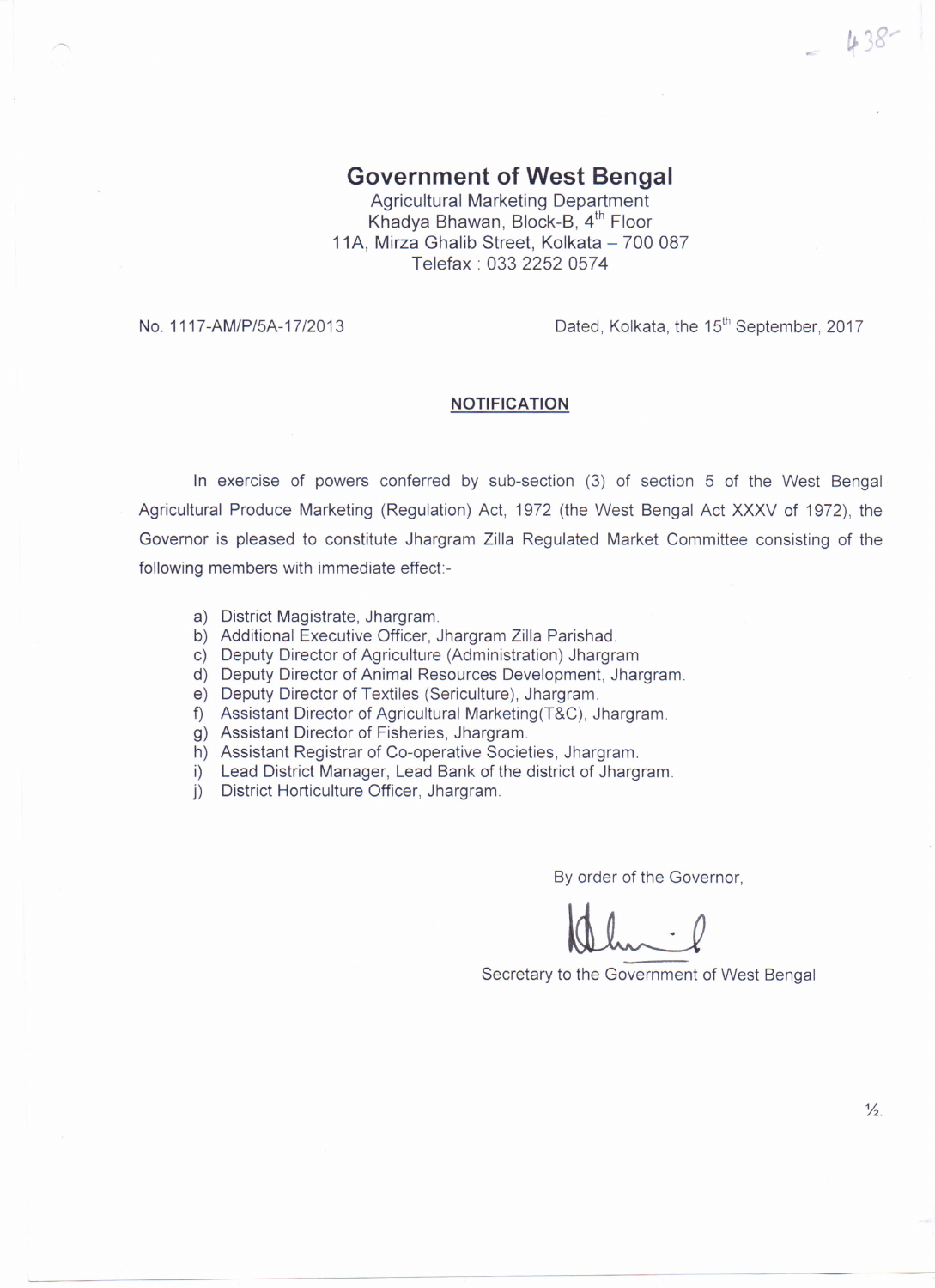## **Government of West Bengal**

Agricultural Marketing Department Khadya Bhawan, Block-B, 4<sup>th</sup> Floor 11A. Mirza Ghalib Street, Kolkata - 700 087 Telefax: 0332252 0574

No. 1117-AM/P/5A-17/2013 **Dated, Kolkata, the 15<sup>th</sup> September, 2017** 

 $-438$ 

## **NOTIFICATION**

In exercise of powers conferred by sub-section (3) of section 5 of the West Bengal Agricultural Produce Marketing (Regulation) Act, 1972 (the West Bengal Act XXXV of 1972), the Governor is pleased to constitute Jhargram Zilla Regulated Market Committee consisting of the following members with immediate effect:-

- a) District Magistrate, Jhargram.
- b) Additional Executive Officer, Jhargram Zilla Parishad.
- c) Deputy Director of Agriculture (Administration) Jhargram
- d) Deputy Director of Animal Resources Development, Jhargram.
- e) Deputy Director of Textiles (Sericulture), Jhargram.
- f) Assistant Director of Agricultural Marketing(T&C), Jhargram.
- g) Assistant Director of Fisheries, Jhargram.
- h) Assistant Registrar of Co-operative Societies, Jhargram.
- i) Lead District Manager, Lead Bank of the district of Jhargram.
- j) District Horticulture Officer, Jhargram.

By order of the Governor,

Secretary to the Government of West Bengal